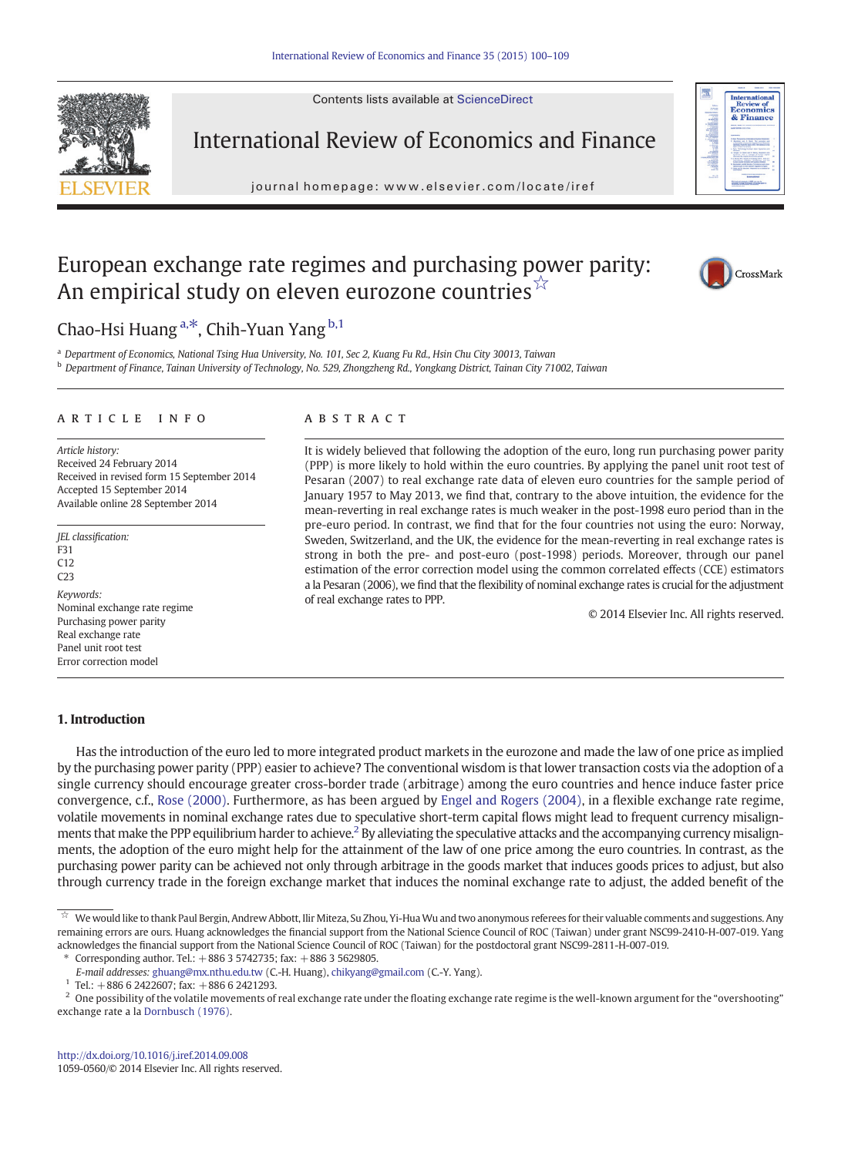Contents lists available at ScienceDirect



International Review of Economics and Finance

journal homepage: www.elsevier.com/locate/iref



## European exchange rate regimes and purchasing power parity: An empirical study on eleven eurozone countries $\vec{r}$



Chao-Hsi Huang<sup>a,\*</sup>, Chih-Yuan Yang <sup>b,1</sup>

<sup>a</sup> Department of Economics, National Tsing Hua University, No. 101, Sec 2, Kuang Fu Rd., Hsin Chu City 30013, Taiwan <sup>b</sup> Department of Finance, Tainan University of Technology, No. 529, Zhongzheng Rd., Yongkang District, Tainan City 71002, Taiwan

### article info abstract

Article history: Received 24 February 2014 Received in revised form 15 September 2014 Accepted 15 September 2014 Available online 28 September 2014

JEL classification: F31 C12 C23 Keywords: Nominal exchange rate regime Purchasing power parity Real exchange rate Panel unit root test Error correction model

It is widely believed that following the adoption of the euro, long run purchasing power parity (PPP) is more likely to hold within the euro countries. By applying the panel unit root test of Pesaran (2007) to real exchange rate data of eleven euro countries for the sample period of January 1957 to May 2013, we find that, contrary to the above intuition, the evidence for the mean-reverting in real exchange rates is much weaker in the post-1998 euro period than in the pre-euro period. In contrast, we find that for the four countries not using the euro: Norway, Sweden, Switzerland, and the UK, the evidence for the mean-reverting in real exchange rates is strong in both the pre- and post-euro (post-1998) periods. Moreover, through our panel estimation of the error correction model using the common correlated effects (CCE) estimators a la Pesaran (2006), we find that the flexibility of nominal exchange rates is crucial for the adjustment of real exchange rates to PPP.

© 2014 Elsevier Inc. All rights reserved.

### 1. Introduction

Has the introduction of the euro led to more integrated product markets in the eurozone and made the law of one price as implied by the purchasing power parity (PPP) easier to achieve? The conventional wisdom is that lower transaction costs via the adoption of a single currency should encourage greater cross-border trade (arbitrage) among the euro countries and hence induce faster price convergence, c.f., [Rose \(2000\).](#page--1-0) Furthermore, as has been argued by [Engel and Rogers \(2004\)](#page--1-0), in a flexible exchange rate regime, volatile movements in nominal exchange rates due to speculative short-term capital flows might lead to frequent currency misalignments that make the PPP equilibrium harder to achieve.<sup>2</sup> By alleviating the speculative attacks and the accompanying currency misalignments, the adoption of the euro might help for the attainment of the law of one price among the euro countries. In contrast, as the purchasing power parity can be achieved not only through arbitrage in the goods market that induces goods prices to adjust, but also through currency trade in the foreign exchange market that induces the nominal exchange rate to adjust, the added benefit of the

Corresponding author. Tel.:  $+88635742735$ ; fax:  $+88635629805$ .

We would like to thank Paul Bergin, Andrew Abbott, Ilir Miteza, Su Zhou, Yi-Hua Wu and two anonymous referees for their valuable comments and suggestions. Any remaining errors are ours. Huang acknowledges the financial support from the National Science Council of ROC (Taiwan) under grant NSC99-2410-H-007-019. Yang acknowledges the financial support from the National Science Council of ROC (Taiwan) for the postdoctoral grant NSC99-2811-H-007-019.

E-mail addresses: [ghuang@mx.nthu.edu.tw](mailto:ghuang@mx.nthu.edu.tw) (C.-H. Huang), [chikyang@gmail.com](mailto:chikyang@gmail.com) (C.-Y. Yang).

 $1$  Tel.: +886 6 2422607; fax: +886 6 2421293.

 $<sup>2</sup>$  One possibility of the volatile movements of real exchange rate under the floating exchange rate regime is the well-known argument for the "overshooting"</sup> exchange rate a la [Dornbusch \(1976\).](#page--1-0)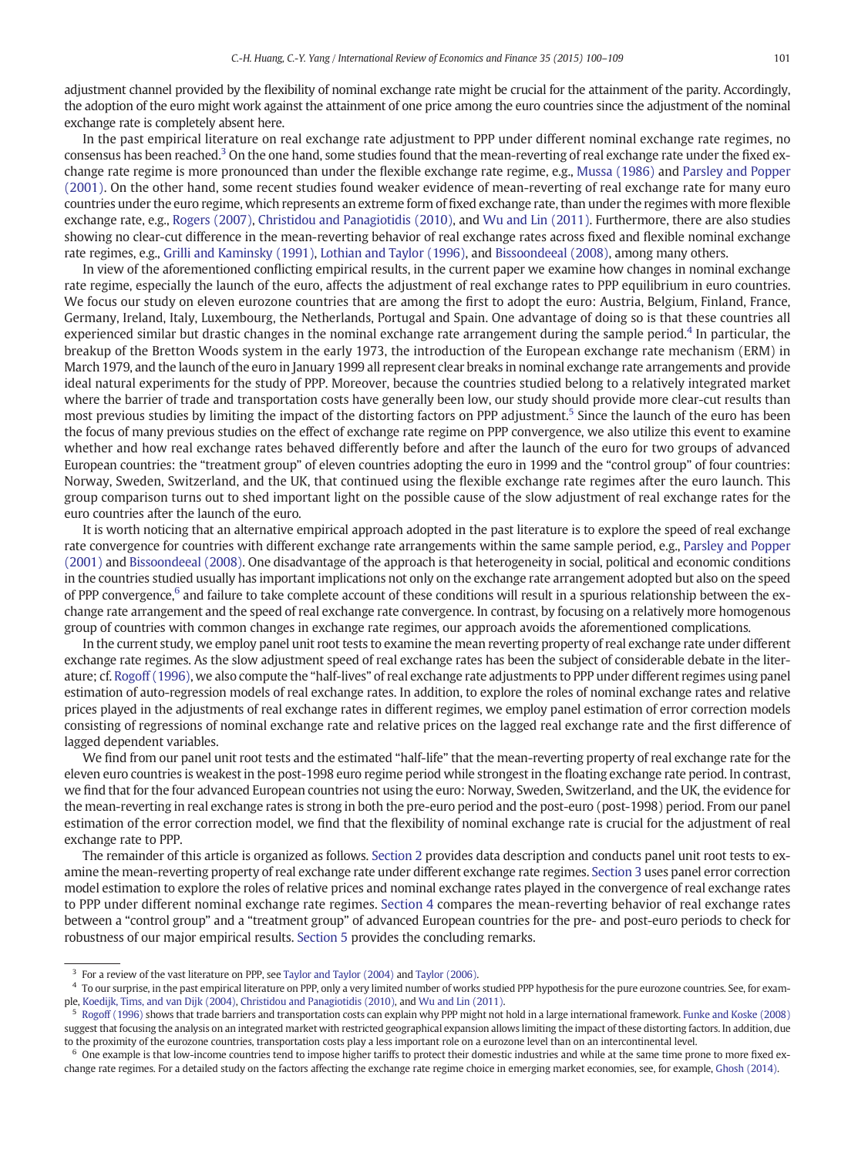adjustment channel provided by the flexibility of nominal exchange rate might be crucial for the attainment of the parity. Accordingly, the adoption of the euro might work against the attainment of one price among the euro countries since the adjustment of the nominal exchange rate is completely absent here.

In the past empirical literature on real exchange rate adjustment to PPP under different nominal exchange rate regimes, no consensus has been reached.<sup>3</sup> On the one hand, some studies found that the mean-reverting of real exchange rate under the fixed exchange rate regime is more pronounced than under the flexible exchange rate regime, e.g., [Mussa \(1986\)](#page--1-0) and [Parsley and Popper](#page--1-0) [\(2001\).](#page--1-0) On the other hand, some recent studies found weaker evidence of mean-reverting of real exchange rate for many euro countries under the euro regime, which represents an extreme form of fixed exchange rate, than under the regimes with more flexible exchange rate, e.g., [Rogers \(2007\),](#page--1-0) [Christidou and Panagiotidis \(2010\),](#page--1-0) and [Wu and Lin \(2011\)](#page--1-0). Furthermore, there are also studies showing no clear-cut difference in the mean-reverting behavior of real exchange rates across fixed and flexible nominal exchange rate regimes, e.g., [Grilli and Kaminsky \(1991\),](#page--1-0) [Lothian and Taylor \(1996\),](#page--1-0) and [Bissoondeeal \(2008\),](#page--1-0) among many others.

In view of the aforementioned conflicting empirical results, in the current paper we examine how changes in nominal exchange rate regime, especially the launch of the euro, affects the adjustment of real exchange rates to PPP equilibrium in euro countries. We focus our study on eleven eurozone countries that are among the first to adopt the euro: Austria, Belgium, Finland, France, Germany, Ireland, Italy, Luxembourg, the Netherlands, Portugal and Spain. One advantage of doing so is that these countries all experienced similar but drastic changes in the nominal exchange rate arrangement during the sample period.<sup>4</sup> In particular, the breakup of the Bretton Woods system in the early 1973, the introduction of the European exchange rate mechanism (ERM) in March 1979, and the launch of the euro in January 1999 all represent clear breaks in nominal exchange rate arrangements and provide ideal natural experiments for the study of PPP. Moreover, because the countries studied belong to a relatively integrated market where the barrier of trade and transportation costs have generally been low, our study should provide more clear-cut results than most previous studies by limiting the impact of the distorting factors on PPP adjustment.<sup>5</sup> Since the launch of the euro has been the focus of many previous studies on the effect of exchange rate regime on PPP convergence, we also utilize this event to examine whether and how real exchange rates behaved differently before and after the launch of the euro for two groups of advanced European countries: the "treatment group" of eleven countries adopting the euro in 1999 and the "control group" of four countries: Norway, Sweden, Switzerland, and the UK, that continued using the flexible exchange rate regimes after the euro launch. This group comparison turns out to shed important light on the possible cause of the slow adjustment of real exchange rates for the euro countries after the launch of the euro.

It is worth noticing that an alternative empirical approach adopted in the past literature is to explore the speed of real exchange rate convergence for countries with different exchange rate arrangements within the same sample period, e.g., [Parsley and Popper](#page--1-0) [\(2001\)](#page--1-0) and [Bissoondeeal \(2008\).](#page--1-0) One disadvantage of the approach is that heterogeneity in social, political and economic conditions in the countries studied usually has important implications not only on the exchange rate arrangement adopted but also on the speed of PPP convergence,<sup>6</sup> and failure to take complete account of these conditions will result in a spurious relationship between the exchange rate arrangement and the speed of real exchange rate convergence. In contrast, by focusing on a relatively more homogenous group of countries with common changes in exchange rate regimes, our approach avoids the aforementioned complications.

In the current study, we employ panel unit root tests to examine the mean reverting property of real exchange rate under different exchange rate regimes. As the slow adjustment speed of real exchange rates has been the subject of considerable debate in the literature; cf. [Rogoff \(1996\)](#page--1-0), we also compute the "half-lives" of real exchange rate adjustments to PPP under different regimes using panel estimation of auto-regression models of real exchange rates. In addition, to explore the roles of nominal exchange rates and relative prices played in the adjustments of real exchange rates in different regimes, we employ panel estimation of error correction models consisting of regressions of nominal exchange rate and relative prices on the lagged real exchange rate and the first difference of lagged dependent variables.

We find from our panel unit root tests and the estimated "half-life" that the mean-reverting property of real exchange rate for the eleven euro countries is weakest in the post-1998 euro regime period while strongest in the floating exchange rate period. In contrast, we find that for the four advanced European countries not using the euro: Norway, Sweden, Switzerland, and the UK, the evidence for the mean-reverting in real exchange rates is strong in both the pre-euro period and the post-euro (post-1998) period. From our panel estimation of the error correction model, we find that the flexibility of nominal exchange rate is crucial for the adjustment of real exchange rate to PPP.

The remainder of this article is organized as follows. [Section 2](#page--1-0) provides data description and conducts panel unit root tests to examine the mean-reverting property of real exchange rate under different exchange rate regimes. [Section 3](#page--1-0) uses panel error correction model estimation to explore the roles of relative prices and nominal exchange rates played in the convergence of real exchange rates to PPP under different nominal exchange rate regimes. [Section 4](#page--1-0) compares the mean-reverting behavior of real exchange rates between a "control group" and a "treatment group" of advanced European countries for the pre- and post-euro periods to check for robustness of our major empirical results. [Section 5](#page--1-0) provides the concluding remarks.

<sup>&</sup>lt;sup>3</sup> For a review of the vast literature on PPP, see [Taylor and Taylor \(2004\)](#page--1-0) and [Taylor \(2006\).](#page--1-0)

<sup>4</sup> To our surprise, in the past empirical literature on PPP, only a very limited number of works studied PPP hypothesis for the pure eurozone countries. See, for example, [Koedijk, Tims, and van Dijk \(2004\)](#page--1-0), [Christidou and Panagiotidis \(2010\)](#page--1-0), and [Wu and Lin \(2011\).](#page--1-0)

 $5\,$  [Rogoff \(1996\)](#page--1-0) shows that trade barriers and transportation costs can explain why PPP might not hold in a large international framework. [Funke and Koske \(2008\)](#page--1-0) suggest that focusing the analysis on an integrated market with restricted geographical expansion allows limiting the impact of these distorting factors. In addition, due to the proximity of the eurozone countries, transportation costs play a less important role on a eurozone level than on an intercontinental level.

<sup>&</sup>lt;sup>6</sup> One example is that low-income countries tend to impose higher tariffs to protect their domestic industries and while at the same time prone to more fixed exchange rate regimes. For a detailed study on the factors affecting the exchange rate regime choice in emerging market economies, see, for example, [Ghosh \(2014\).](#page--1-0)